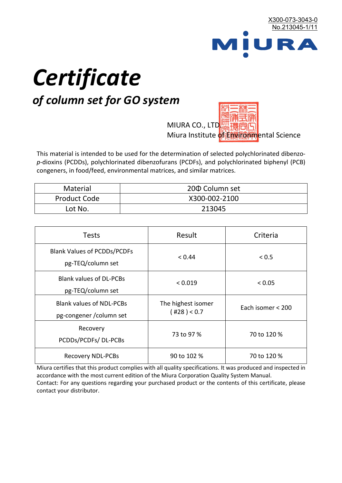

# *Certificate*

## *of column set for GO system*

MIURA CO., LTD. Miura Institute of 正版而解ental Science

This material is intended to be used for the determination of selected polychlorinated dibenzo*p*-dioxins (PCDDs), polychlorinated dibenzofurans (PCDFs), and polychlorinated biphenyl (PCB) congeners, in food/feed, environmental matrices, and similar matrices.

| <b>Material</b>     | 200 Column set |  |
|---------------------|----------------|--|
| <b>Product Code</b> | X300-002-2100  |  |
| Lot No.             | 213045         |  |

| <b>Tests</b>                                                | Result                            | Criteria          |
|-------------------------------------------------------------|-----------------------------------|-------------------|
| <b>Blank Values of PCDDs/PCDFs</b><br>pg-TEQ/column set     | < 0.44                            | < 0.5             |
| <b>Blank values of DL-PCBs</b><br>pg-TEQ/column set         | < 0.019                           | < 0.05            |
| <b>Blank values of NDL-PCBs</b><br>pg-congener / column set | The highest isomer<br>(428) < 0.7 | Each isomer < 200 |
| Recovery<br>PCDDs/PCDFs/DL-PCBs                             | 73 to 97 %                        | 70 to 120 %       |
| <b>Recovery NDL-PCBs</b>                                    | 90 to 102 %                       | 70 to 120 %       |

Miura certifies that this product complies with all quality specifications. It was produced and inspected in accordance with the most current edition of the Miura Corporation Quality System Manual. Contact: For any questions regarding your purchased product or the contents of this certificate, please contact your distributor.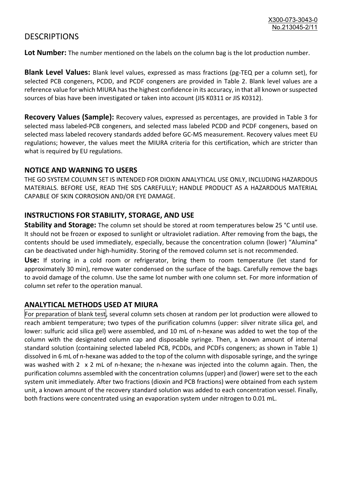### **DESCRIPTIONS**

**Lot Number:** The number mentioned on the labels on the column bag is the lot production number.

**Blank Level Values:** Blank level values, expressed as mass fractions (pg-TEQ per a column set), for selected PCB congeners, PCDD, and PCDF congeners are provided in Table 2. Blank level values are a reference value for which MIURA has the highest confidence in its accuracy, in that all known or suspected sources of bias have been investigated or taken into account (JIS K0311 or JIS K0312).

**Recovery Values (Sample):** Recovery values, expressed as percentages, are provided in Table 3 for selected mass labeled-PCB congeners, and selected mass labeled PCDD and PCDF congeners, based on selected mass labeled recovery standards added before GC-MS measurement. Recovery values meet EU regulations; however, the values meet the MIURA criteria for this certification, which are stricter than what is required by EU regulations.

#### **NOTICE AND WARNING TO USERS**

THE GO SYSTEM COLUMN SET IS INTENDED FOR DIOXIN ANALYTICAL USE ONLY, INCLUDING HAZARDOUS MATERIALS. BEFORE USE, READ THE SDS CAREFULLY; HANDLE PRODUCT AS A HAZARDOUS MATERIAL CAPABLE OF SKIN CORROSION AND/OR EYE DAMAGE.

#### **INSTRUCTIONS FOR STABILITY, STORAGE, AND USE**

**Stability and Storage:** The column set should be stored at room temperatures below 25 °C until use. It should not be frozen or exposed to sunlight or ultraviolet radiation. After removing from the bags, the contents should be used immediately, especially, because the concentration column (lower) "Alumina" can be deactivated under high-humidity. Storing of the removed column set is not recommended.

**Use:** If storing in a cold room or refrigerator, bring them to room temperature (let stand for approximately 30 min), remove water condensed on the surface of the bags. Carefully remove the bags to avoid damage of the column. Use the same lot number with one column set. For more information of column set refer to the operation manual.

#### **ANALYTICAL METHODS USED AT MIURA**

For preparation of blank test, several column sets chosen at random per lot production were allowed to reach ambient temperature; two types of the purification columns (upper: silver nitrate silica gel, and lower: sulfuric acid silica gel) were assembled, and 10 mL of n-hexane was added to wet the top of the column with the designated column cap and disposable syringe. Then, a known amount of internal standard solution (containing selected labeled PCB, PCDDs, and PCDFs congeners; as shown in Table 1) dissolved in 6 mL of n-hexane was added to the top of the column with disposable syringe, and the syringe was washed with 2 x 2 mL of n-hexane; the n-hexane was injected into the column again. Then, the purification columns assembled with the concentration columns (upper) and (lower) were set to the each system unit immediately. After two fractions (dioxin and PCB fractions) were obtained from each system unit, a known amount of the recovery standard solution was added to each concentration vessel. Finally, both fractions were concentrated using an evaporation system under nitrogen to 0.01 mL.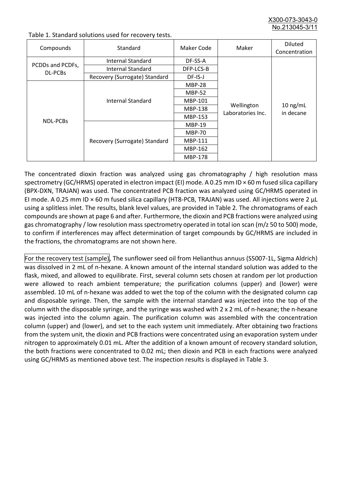X300-073-3043-0 No.213045-3/

| Compounds                   | Standard                      | Maker Code     | Maker                           | <b>Diluted</b><br>Concentration |
|-----------------------------|-------------------------------|----------------|---------------------------------|---------------------------------|
| PCDDs and PCDFs,<br>DL-PCBs | Internal Standard             | DF-SS-A        |                                 |                                 |
|                             | <b>Internal Standard</b>      | DFP-LCS-B      |                                 |                                 |
|                             | Recovery (Surrogate) Standard | DF-IS-J        | Wellington<br>Laboratories Inc. | $10$ ng/mL<br>in decane         |
| <b>NDL-PCBs</b>             | Internal Standard             | <b>MBP-28</b>  |                                 |                                 |
|                             |                               | <b>MBP-52</b>  |                                 |                                 |
|                             |                               | MBP-101        |                                 |                                 |
|                             |                               | <b>MBP-138</b> |                                 |                                 |
|                             |                               | MBP-153        |                                 |                                 |
|                             | Recovery (Surrogate) Standard | <b>MBP-19</b>  |                                 |                                 |
|                             |                               | <b>MBP-70</b>  |                                 |                                 |
|                             |                               | MBP-111        |                                 |                                 |
|                             |                               | MBP-162        |                                 |                                 |
|                             |                               | <b>MBP-178</b> |                                 |                                 |

Table 1. Standard solutions used for recovery tests.

The concentrated dioxin fraction was analyzed using gas chromatography / high resolution mass spectrometry (GC/HRMS) operated in electron impact (EI) mode. A 0.25 mm ID × 60 m fused silica capillary (BPX-DXN, TRAJAN) was used. The concentrated PCB fraction was analyzed using GC/HRMS operated in EI mode. A 0.25 mm ID × 60 m fused silica capillary (HT8-PCB, TRAJAN) was used. All injections were 2 μL using a splitless inlet. The results, blank level values, are provided in Table 2. The chromatograms of each compounds are shown at page 6 and after. Furthermore, the dioxin and PCB fractions were analyzed using gas chromatography / low resolution mass spectrometry operated in total ion scan (m/z 50 to 500) mode, to confirm if interferences may affect determination of target compounds by GC/HRMS are included in the fractions, the chromatograms are not shown here.

For the recovery test (sample), The sunflower seed oil from Helianthus annuus (S5007-1L, Sigma Aldrich) was dissolved in 2 mL of n-hexane. A known amount of the internal standard solution was added to the flask, mixed, and allowed to equilibrate. First, several column sets chosen at random per lot production were allowed to reach ambient temperature; the purification columns (upper) and (lower) were assembled. 10 mL of n-hexane was added to wet the top of the column with the designated column cap and disposable syringe. Then, the sample with the internal standard was injected into the top of the column with the disposable syringe, and the syringe was washed with 2 x 2 mL of n-hexane; the n-hexane was injected into the column again. The purification column was assembled with the concentration column (upper) and (lower), and set to the each system unit immediately. After obtaining two fractions from the system unit, the dioxin and PCB fractions were concentrated using an evaporation system under nitrogen to approximately 0.01 mL. After the addition of a known amount of recovery standard solution, the both fractions were concentrated to 0.02 mL; then dioxin and PCB in each fractions were analyzed using GC/HRMS as mentioned above test. The inspection results is displayed in Table 3.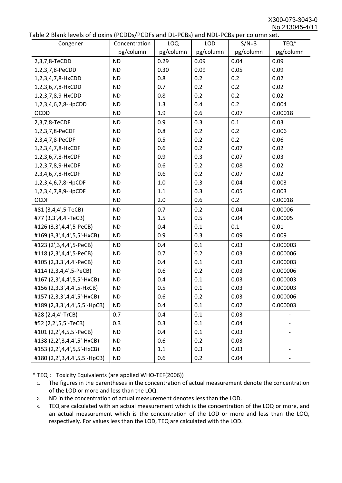X300-073-3043-0 No.213045-4/11

|  | Table 2 Blank levels of dioxins (PCDDs/PCDFs and DL-PCBs) and NDL-PCBs per column set. |
|--|----------------------------------------------------------------------------------------|
|--|----------------------------------------------------------------------------------------|

| abic 2 Diarik icveis of dioxins (I CDD3/TCDTs and DET CD3/ and NDET CD3 pcr column sett.<br>Congener | Concentration | <b>LOQ</b> | <b>LOD</b> | $S/N=3$   | TEQ*      |
|------------------------------------------------------------------------------------------------------|---------------|------------|------------|-----------|-----------|
|                                                                                                      | pg/column     | pg/column  | pg/column  | pg/column | pg/column |
| 2,3,7,8-TeCDD                                                                                        | <b>ND</b>     | 0.29       | 0.09       | 0.04      | 0.09      |
| 1,2,3,7,8-PeCDD                                                                                      | <b>ND</b>     | 0.30       | 0.09       | 0.05      | 0.09      |
| 1,2,3,4,7,8-HxCDD                                                                                    | <b>ND</b>     | 0.8        | 0.2        | 0.2       | 0.02      |
| 1,2,3,6,7,8-HxCDD                                                                                    | <b>ND</b>     | 0.7        | 0.2        | 0.2       | 0.02      |
| 1,2,3,7,8,9-HxCDD                                                                                    | <b>ND</b>     | 0.8        | 0.2        | 0.2       | 0.02      |
| 1,2,3,4,6,7,8-HpCDD                                                                                  | <b>ND</b>     | 1.3        | 0.4        | 0.2       | 0.004     |
| <b>OCDD</b>                                                                                          | <b>ND</b>     | 1.9        | 0.6        | 0.07      | 0.00018   |
| 2,3,7,8-TeCDF                                                                                        | <b>ND</b>     | 0.9        | 0.3        | 0.1       | 0.03      |
| 1,2,3,7,8-PeCDF                                                                                      | <b>ND</b>     | 0.8        | 0.2        | 0.2       | 0.006     |
| 2,3,4,7,8-PeCDF                                                                                      | <b>ND</b>     | 0.5        | 0.2        | 0.2       | 0.06      |
| 1,2,3,4,7,8-HxCDF                                                                                    | <b>ND</b>     | 0.6        | 0.2        | 0.07      | 0.02      |
| 1,2,3,6,7,8-HxCDF                                                                                    | <b>ND</b>     | 0.9        | 0.3        | 0.07      | 0.03      |
| 1,2,3,7,8,9-HxCDF                                                                                    | <b>ND</b>     | 0.6        | 0.2        | 0.08      | 0.02      |
| 2,3,4,6,7,8-HxCDF                                                                                    | <b>ND</b>     | 0.6        | 0.2        | 0.07      | 0.02      |
| 1,2,3,4,6,7,8-HpCDF                                                                                  | <b>ND</b>     | 1.0        | 0.3        | 0.04      | 0.003     |
| 1,2,3,4,7,8,9-HpCDF                                                                                  | <b>ND</b>     | 1.1        | 0.3        | 0.05      | 0.003     |
| <b>OCDF</b>                                                                                          | <b>ND</b>     | 2.0        | 0.6        | 0.2       | 0.00018   |
| #81 (3,4,4',5-TeCB)                                                                                  | <b>ND</b>     | 0.7        | 0.2        | 0.04      | 0.00006   |
| #77 (3,3',4,4'-TeCB)                                                                                 | <b>ND</b>     | 1.5        | 0.5        | 0.04      | 0.00005   |
| #126 (3,3',4,4',5-PeCB)                                                                              | <b>ND</b>     | 0.4        | 0.1        | 0.1       | 0.01      |
| #169 (3,3',4,4',5,5'-HxCB)                                                                           | <b>ND</b>     | 0.9        | 0.3        | 0.09      | 0.009     |
| #123 (2',3,4,4',5-PeCB)                                                                              | <b>ND</b>     | 0.4        | 0.1        | 0.03      | 0.000003  |
| #118 (2,3',4,4',5-PeCB)                                                                              | <b>ND</b>     | 0.7        | 0.2        | 0.03      | 0.000006  |
| #105 (2,3,3',4,4'-PeCB)                                                                              | <b>ND</b>     | 0.4        | 0.1        | 0.03      | 0.000003  |
| #114 (2,3,4,4',5-PeCB)                                                                               | <b>ND</b>     | 0.6        | 0.2        | 0.03      | 0.000006  |
| #167 (2,3',4,4',5,5'-HxCB)                                                                           | <b>ND</b>     | 0.4        | 0.1        | 0.03      | 0.000003  |
| #156 (2,3,3',4,4',5-HxCB)                                                                            | <b>ND</b>     | 0.5        | 0.1        | 0.03      | 0.000003  |
| #157 (2,3,3',4,4',5'-HxCB)                                                                           | <b>ND</b>     | 0.6        | 0.2        | 0.03      | 0.000006  |
| #189 (2,3,3',4,4',5,5'-HpCB)                                                                         | <b>ND</b>     | 0.4        | 0.1        | 0.02      | 0.000003  |
| #28 (2,4,4'-TrCB)                                                                                    | 0.7           | 0.4        | 0.1        | 0.03      |           |
| #52 (2,2',5,5'-TeCB)                                                                                 | 0.3           | 0.3        | 0.1        | 0.04      |           |
| #101 (2,2',4,5,5'-PeCB)                                                                              | <b>ND</b>     | 0.4        | 0.1        | 0.03      |           |
| #138 (2,2',3,4,4',5'-HxCB)                                                                           | <b>ND</b>     | 0.6        | 0.2        | 0.03      |           |
| #153 (2,2',4,4',5,5'-HxCB)                                                                           | <b>ND</b>     | 1.1        | 0.3        | 0.03      |           |
| #180 (2,2',3,4,4',5,5'-HpCB)                                                                         | <b>ND</b>     | 0.6        | 0.2        | 0.04      |           |

\* TEQ: Toxicity Equivalents (are applied WHO-TEF(2006))

- 1. The figures in the parentheses in the concentration of actual measurement denote the concentration of the LOD or more and less than the LOQ.
- 2. ND in the concentration of actual measurement denotes less than the LOD.
- 3. TEQ are calculated with an actual measurement which is the concentration of the LOQ or more, and an actual measurement which is the concentration of the LOD or more and less than the LOQ, respectively. For values less than the LOD, TEQ are calculated with the LOD.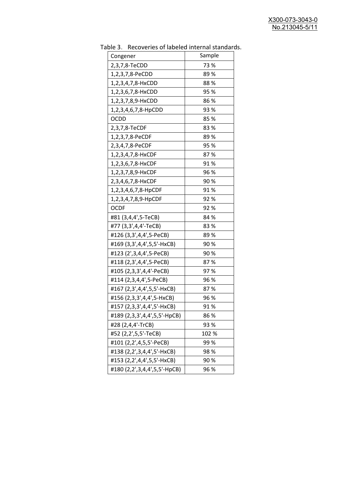| יכ אומג<br><b>INCLOVEDIES OF RESERVE INTERNATION</b><br>Congener | Sample |
|------------------------------------------------------------------|--------|
| 2,3,7,8-TeCDD                                                    | 73 %   |
| 1,2,3,7,8-PeCDD                                                  | 89 %   |
| 1,2,3,4,7,8-HxCDD                                                | 88%    |
| 1,2,3,6,7,8-HxCDD                                                | 95 %   |
| 1,2,3,7,8,9-HxCDD                                                | 86 %   |
| 1,2,3,4,6,7,8-HpCDD                                              | 93 %   |
| <b>OCDD</b>                                                      | 85%    |
| 2,3,7,8-TeCDF                                                    | 83%    |
| 1,2,3,7,8-PeCDF                                                  | 89%    |
| 2,3,4,7,8-PeCDF                                                  | 95 %   |
| 1,2,3,4,7,8-HxCDF                                                | 87%    |
| 1,2,3,6,7,8-HxCDF                                                | 91%    |
| 1,2,3,7,8,9-HxCDF                                                | 96 %   |
| 2,3,4,6,7,8-HxCDF                                                | 90%    |
| 1,2,3,4,6,7,8-HpCDF                                              | 91%    |
| 1,2,3,4,7,8,9-HpCDF                                              | 92%    |
| <b>OCDF</b>                                                      | 92%    |
| #81 (3,4,4',5-TeCB)                                              | 84 %   |
| #77 (3,3',4,4'-TeCB)                                             | 83%    |
| #126 (3,3',4,4',5-PeCB)                                          | 89%    |
| #169 (3,3',4,4',5,5'-HxCB)                                       | 90%    |
| #123 (2', 3, 4, 4', 5-PeCB)                                      | 90%    |
| #118 (2,3',4,4',5-PeCB)                                          | 87%    |
| #105 (2,3,3',4,4'-PeCB)                                          | 97%    |
| #114 (2,3,4,4',5-PeCB)                                           | 96 %   |
| #167 (2,3',4,4',5,5'-HxCB)                                       | 87%    |
| #156 (2,3,3',4,4',5-HxCB)                                        | 96 %   |
| #157 (2,3,3',4,4',5'-HxCB)                                       | 91 %   |
| #189 (2,3,3',4,4',5,5'-HpCB)                                     | 86 %   |
| #28 (2,4,4'-TrCB)                                                | 93 %   |
| #52 (2,2',5,5'-TeCB)                                             | 102 %  |
| #101 (2,2',4,5,5'-PeCB)                                          | 99%    |
| #138 (2,2',3,4,4',5'-HxCB)                                       | 98%    |
| #153 (2,2',4,4',5,5'-HxCB)                                       | 90%    |
| #180 (2,2',3,4,4',5,5'-HpCB)                                     | 96 %   |

Table 3. Recoveries of labeled internal standards.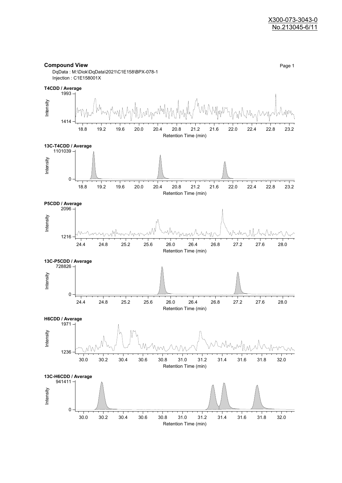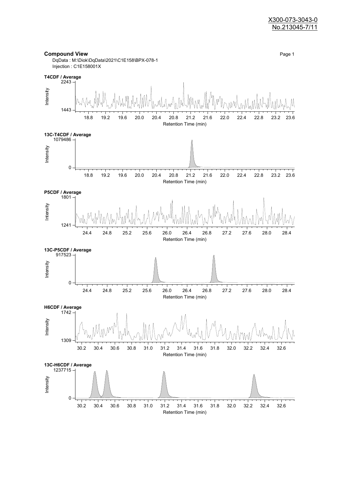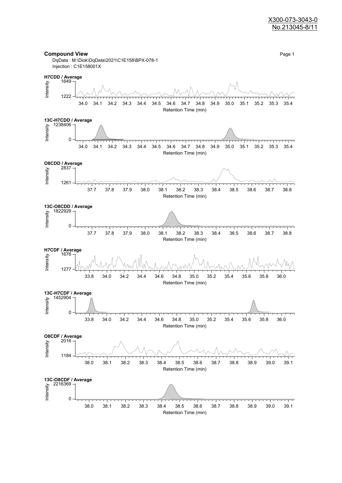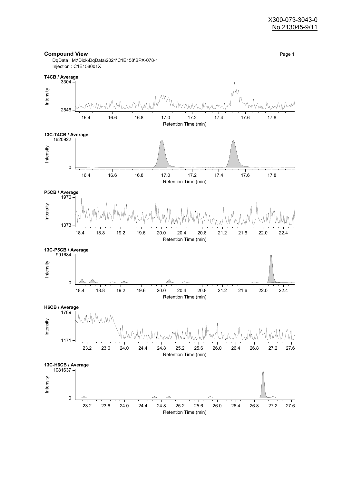

Retention Time (min)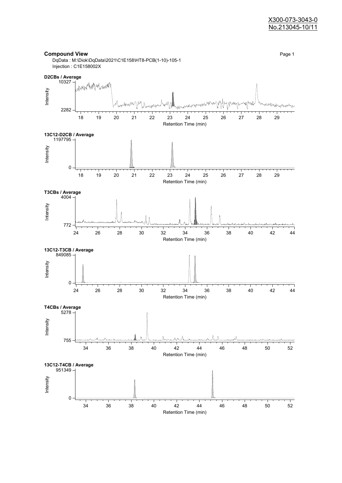